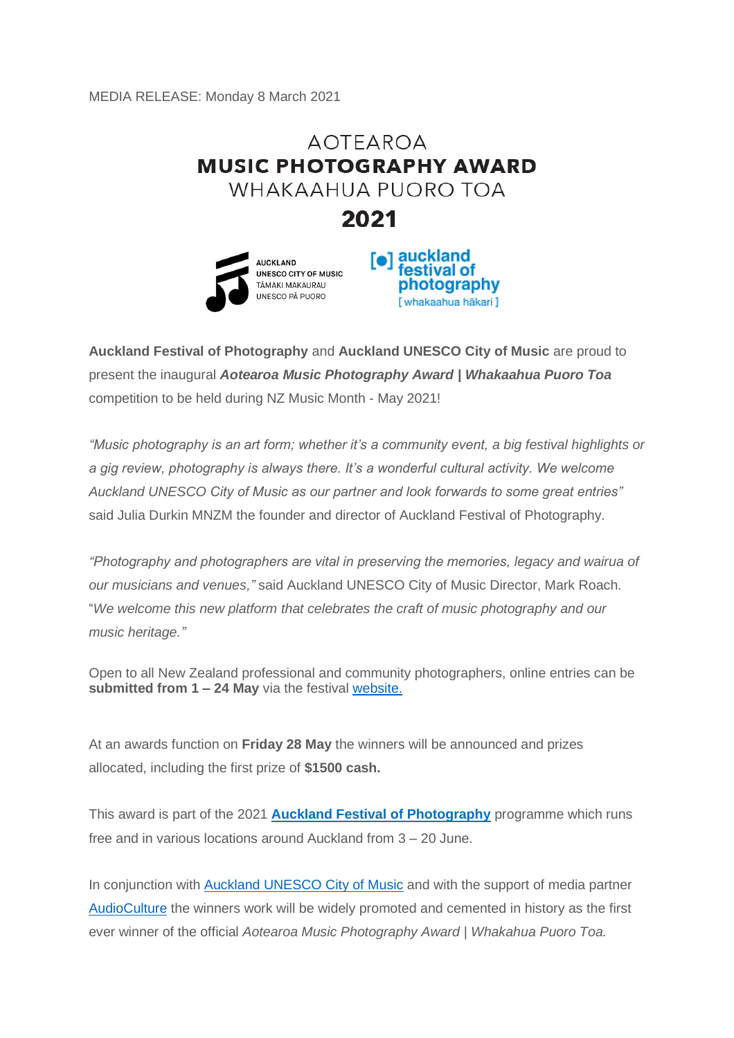MEDIA RELEASE: Monday 8 March 2021

## **AOTFAROA MUSIC PHOTOGRAPHY AWARD** WHAKAAHUA PUORO TOA 2021





**Auckland Festival of Photography** and **Auckland UNESCO City of Music** are proud to present the inaugural *Aotearoa Music Photography Award | Whakaahua Puoro Toa* competition to be held during NZ Music Month - May 2021!

*"Music photography is an art form; whether it's a community event, a big festival highlights or a gig review, photography is always there. It's a wonderful cultural activity. We welcome Auckland UNESCO City of Music as our partner and look forwards to some great entries"* said Julia Durkin MNZM the founder and director of Auckland Festival of Photography.

*"Photography and photographers are vital in preserving the memories, legacy and wairua of our musicians and venues,"* said Auckland UNESCO City of Music Director, Mark Roach. "*We welcome this new platform that celebrates the craft of music photography and our music heritage."*

Open to all New Zealand professional and community photographers, online entries can be **submitted from 1 – 24 May** via the festival [website.](https://www.photographyfestival.org.nz/awards/UNESCO-city-of-music.cfm)

At an awards function on **Friday 28 May** the winners will be announced and prizes allocated, including the first prize of **\$1500 cash.**

This award is part of the 2021 **[Auckland Festival of Photography](https://www.photographyfestival.org.nz/)** programme which runs free and in various locations around Auckland from 3 – 20 June.

In conjunction with [Auckland UNESCO City of Music](file:///C:/Users/Leesa/AppData/Local/Microsoft/Windows/INetCache/Content.Outlook/DYM7FQ5Z/aucklandcityofmusic.nz) and with the support of media partner [AudioCulture](https://www.audioculture.co.nz/) the winners work will be widely promoted and cemented in history as the first ever winner of the official *Aotearoa Music Photography Award | Whakahua Puoro Toa.*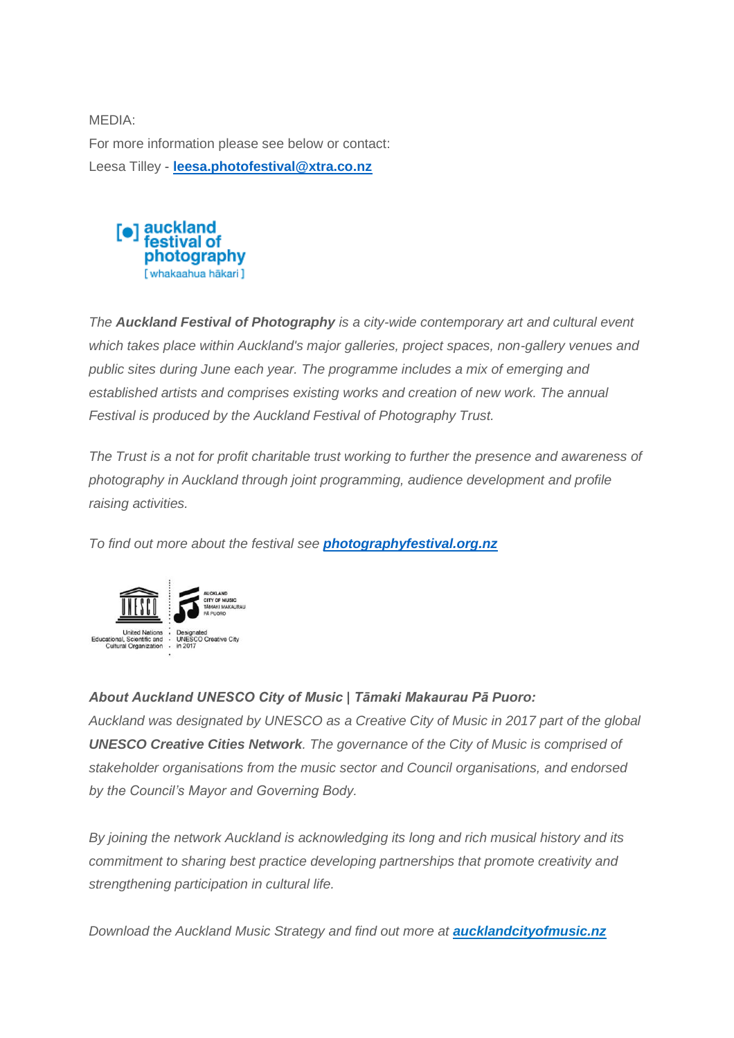MEDIA: For more information please see below or contact: Leesa Tilley - **[leesa.photofestival@xtra.co.nz](mailto:leesa.photofestival@xtra.co.nz)**



*The Auckland Festival of Photography is a city-wide contemporary art and cultural event which takes place within Auckland's major galleries, project spaces, non-gallery venues and public sites during June each year. The programme includes a mix of emerging and established artists and comprises existing works and creation of new work. The annual Festival is produced by the Auckland Festival of Photography Trust.*

*The Trust is a not for profit charitable trust working to further the presence and awareness of photography in Auckland through joint programming, audience development and profile raising activities.* 

*To find out more about the festival see [photographyfestival.org.nz](https://www.photographyfestival.org.nz/)*



## *About Auckland UNESCO City of Music | Tāmaki Makaurau Pā Puoro:*

*Auckland was designated by UNESCO as a Creative City of Music in 2017 part of the global UNESCO Creative Cities Network. The governance of the City of Music is comprised of stakeholder organisations from the music sector and Council organisations, and endorsed by the Council's Mayor and Governing Body.*

*By joining the network Auckland is acknowledging its long and rich musical history and its commitment to sharing best practice developing partnerships that promote creativity and strengthening participation in cultural life.*

*Download the Auckland Music Strategy and find out more at [aucklandcityofmusic.nz](http://www.aucklandcityofmusic.nz/)*